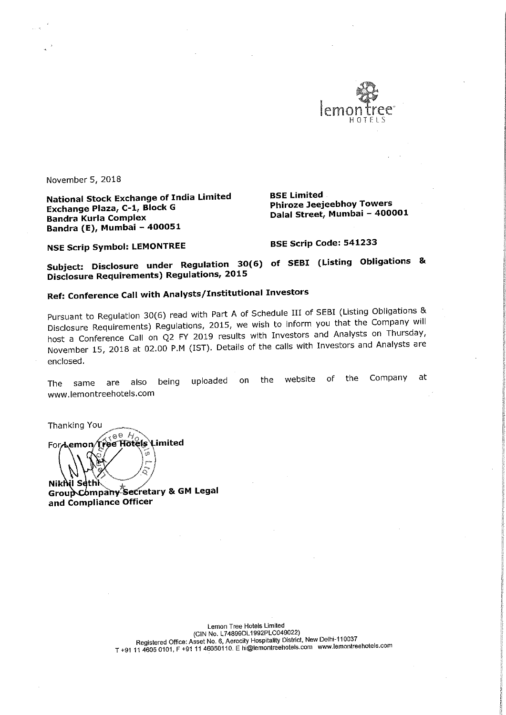

November 5, 2018

National Stock Exchange of India Limited BSE Limited<br>Exchange Plaza, C-1, Block G BR Phiroze Jeejeebhoy Towers Exchange Plaza, C-1, Block G Bandra Kurla Complex Bandra (E), Mumbai — 400051

Dalal Street, Mumbai - 400001

NSE Scrip Symbol: LEMONTREE BSE Scrip Code: 541233

Subject: Disclosure under Regulation 30(6) of SEBI (Listing Obligations & Disclosure Requirements) Regulations, 2015

# Ref: Conference Call with Analysts/Institutional Investors

Pursuant to Regulation 30(6) read with Part <sup>A</sup> of Schedule III of SEBI (Listing Obligations & Disclosure Requirements) Regulations, 2015, we wish to inform you that the Company will host <sup>a</sup> Conference Call on Q2 FY <sup>2019</sup> results with Investors and Analysts on Thursday, November 15, <sup>2018</sup> at 02.00 PM (IST). Details of the calls with Investors and Analysts are enclosed.

The same are also being uploaded on the website of the Company at www.|emontreehotels.com

ົດ Nikhil Sethi Group Company Secretary & GM Legal<br>and Compliance Officer

Thanking You<br>For Lemon Tree Hotels Limited

Lemon Tree Hotels Limited<br>(CIN No. L74899DL1992PLC049022) (ClN No. L74899DL1992PLC049022) Registered Office: Asset No. 6, Aerociiy Hospitality District, New Delhie110037 T+91 <sup>11</sup> <sup>4605</sup> 0101, <sup>F</sup> +91 <sup>11</sup> 46050110. <sup>E</sup> hi@lemontreehotels.com www.lemontreeholels.com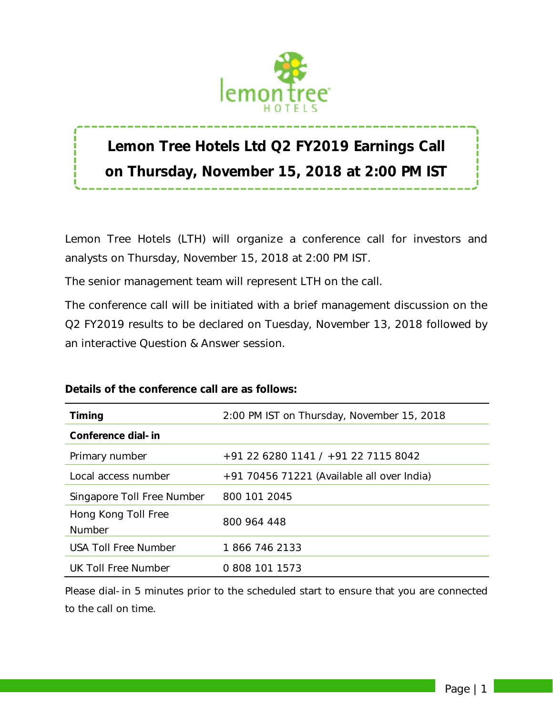

# **Lemon Tree Hotels Ltd Q2 FY2019 Earnings Call on Thursday, November 15, 2018 at 2:00 PM IST**

Lemon Tree Hotels (LTH) will organize a conference call for investors and analysts on Thursday, November 15, 2018 at 2:00 PM IST.

The senior management team will represent LTH on the call.

The conference call will be initiated with a brief management discussion on the Q2 FY2019 results to be declared on Tuesday, November 13, 2018 followed by an interactive Question & Answer session.

| <b>Timing</b>                 | 2:00 PM IST on Thursday, November 15, 2018   |
|-------------------------------|----------------------------------------------|
| Conference dial-in            |                                              |
| Primary number                | +91 22 6280 1141 / +91 22 7115 8042          |
| Local access number           | $+91$ 70456 71221 (Available all over India) |
| Singapore Toll Free Number    | 800 101 2045                                 |
| Hong Kong Toll Free<br>Number | 800 964 448                                  |
| <b>USA Toll Free Number</b>   | 1866 746 2133                                |
| UK Toll Free Number           | 0 808 101 1573                               |

## **Details of the conference call are as follows:**

*Please dial-in 5 minutes prior to the scheduled start to ensure that you are connected to the call on time.*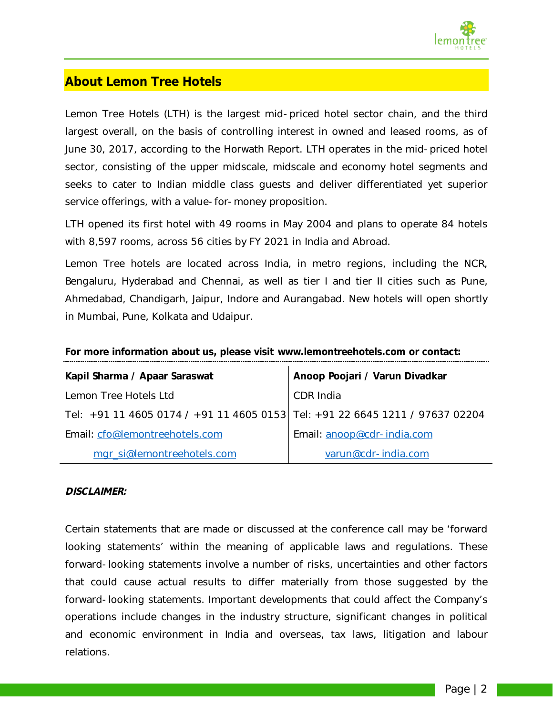

## **About Lemon Tree Hotels**

Lemon Tree Hotels (LTH) is the largest mid-priced hotel sector chain, and the third largest overall, on the basis of controlling interest in owned and leased rooms, as of June 30, 2017, according to the Horwath Report. LTH operates in the mid-priced hotel sector, consisting of the upper midscale, midscale and economy hotel segments and seeks to cater to Indian middle class guests and deliver differentiated yet superior service offerings, with a value-for-money proposition.

LTH opened its first hotel with 49 rooms in May 2004 and plans to operate 84 hotels with 8,597 rooms, across 56 cities by FY 2021 in India and Abroad.

Lemon Tree hotels are located across India, in metro regions, including the NCR, Bengaluru, Hyderabad and Chennai, as well as tier I and tier II cities such as Pune, Ahmedabad, Chandigarh, Jaipur, Indore and Aurangabad. New hotels will open shortly in Mumbai, Pune, Kolkata and Udaipur.

| Kapil Sharma / Apaar Saraswat                                                | Anoop Poojari / Varun Divadkar |
|------------------------------------------------------------------------------|--------------------------------|
| Lemon Tree Hotels Ltd                                                        | CDR India                      |
| Tel: +91 11 4605 0174 / +91 11 4605 0153 Tel: +91 22 6645 1211 / 97637 02204 |                                |
| Email: cfo@lemontreehotels.com                                               | Email: anoop@cdr-india.com     |
| mgr_si@lemontreehotels.com                                                   | varun@cdr-india.com            |

#### **For more information about us, please visit www.lemontreehotels.com or contact:**

#### *DISCLAIMER:*

*Certain statements that are made or discussed at the conference call may be 'forward looking statements' within the meaning of applicable laws and regulations. These forward-looking statements involve a number of risks, uncertainties and other factors that could cause actual results to differ materially from those suggested by the forward-looking statements. Important developments that could affect the Company's operations include changes in the industry structure, significant changes in political and economic environment in India and overseas, tax laws, litigation and labour relations.*